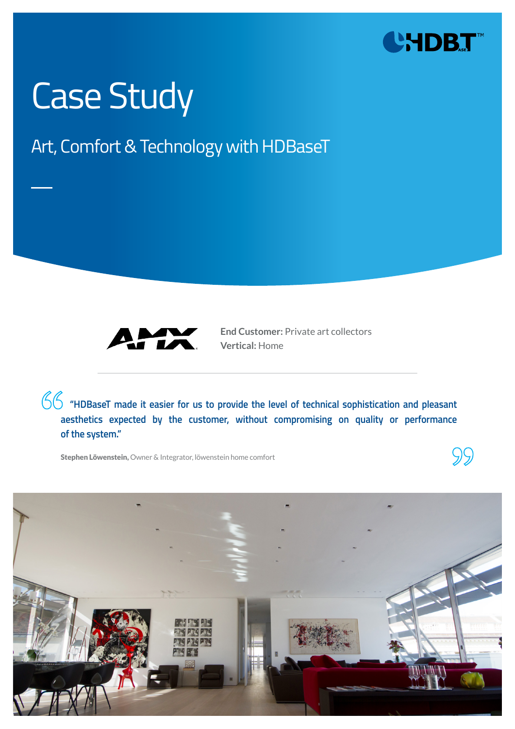

# Case Study

### Art, Comfort & Technology with HDBaseT



**End Customer:** Private art collectors **Vertical:** Home

**"HDBaseT made it easier for us to provide the level of technical sophistication and pleasant aesthetics expected by the customer, without compromising on quality or performance of the system."** 

Stephen Löwenstein, Owner & Integrator, löwenstein home comfort